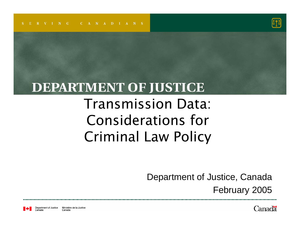

#### **DEPARTMENT OF JUSTICE**

#### Transmission Data: Considerations for Criminal Law Policy

Department of Justice, Canada

February 2005

Department of Justice Ministère de la Justice Canada

**Canada**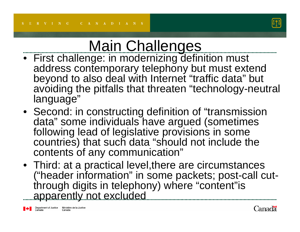

### Main Challenges

- First challenge: in modernizing definition must address contemporary telephony but must extend beyond to also deal with Internet "traffic data" but avoiding the pitfalls that threaten "technology-neutral language"
- Second: in constructing definition of "transmission data" some individuals have argued (sometimes following lead of legislative provisions in some countries) that such data "should not include the contents of any communication"
- Third: at a practical level,there are circumstances ("header information" in some packets; post-call cutthrough digits in telephony) where "content"is apparently not excluded

Department of Justice Ministère de la Justice<br>Canada Canada

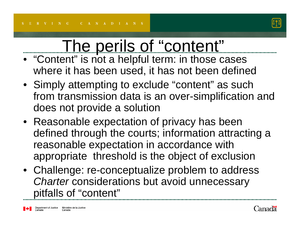

# The perils of "content"

- "Content" is not a helpful term: in those cases where it has been used, it has not been defined
- Simply attempting to exclude "content" as such from transmission data is an over-simplification and does not provide a solution
- Reasonable expectation of privacy has been defined through the courts; information attracting a reasonable expectation in accordance with appropriate threshold is the object of exclusion
- Challenge: re-conceptualize problem to address *Charter* considerations but avoid unnecessary pitfalls of "content"

Department of Justice Ministère de la Justice Canada

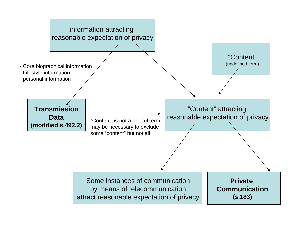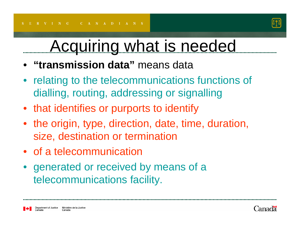

## Acquiring what is needed

- **"transmission data"** means data
- relating to the telecommunications functions of dialling, routing, addressing or signalling
- that identifies or purports to identify
- the origin, type, direction, date, time, duration, size, destination or termination
- of a telecommunication
- generated or received by means of a telecommunications facility.

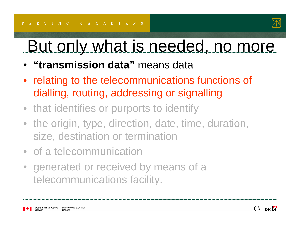

# But only what is needed, no more

- **"transmission data"** means data
- $\bullet$  relating to the telecommunications functions of dialling, routing, addressing or signalling
- that identifies or purports to identify
- the origin, type, direction, date, time, duration, size, destination or termination
- of a telecommunication
- $\bullet$  generated or received by means of a telecommunications facility.

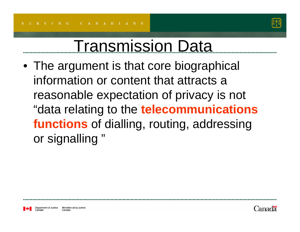

### Transmission Data

• The argument is that core biographical information or content that attracts a reasonable expectation of privacy is not "data relating to the **telecommunications functions** of dialling, routing, addressing or signalling "

Ministère de la Justice Canada

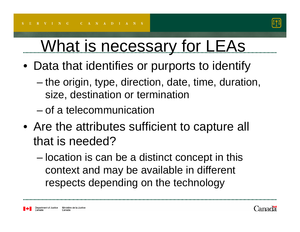

# What is necessary for LEAs

- Data that identifies or purports to identify
	- the origin, type, direction, date, time, duration, size, destination or termination
	- of a telecommunication
- Are the attributes sufficient to capture all that is needed?
	- location is can be a distinct concept in this context and may be available in different respects depending on the technology

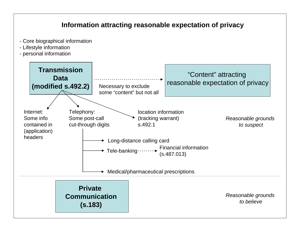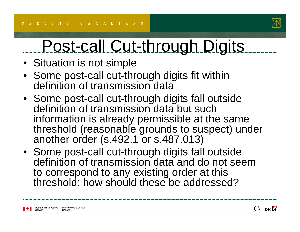

# Post-call Cut-through Digits

- Situation is not simple
- Some post-call cut-through digits fit within definition of transmission data
- Some post-call cut-through digits fall outside definition of transmission data but such information is already permissible at the same threshold (reasonable grounds to suspect) under another order (s.492.1 or s.487.013)
- Some post-call cut-through digits fall outside definition of transmission data and do not seem to correspond to any existing order at this threshold: how should these be addressed?

Department of Justice Ministère de la Justice Canada

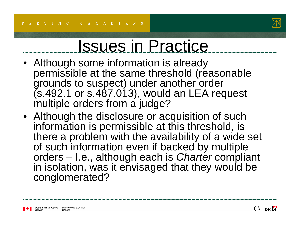

# Issues in Practice

- • Although some information is already permissible at the same threshold (reasonable grounds to suspect) under another order  $($ s.492.1 or s.487.013), would an LEA request multiple orders from a judge?
- Although the disclosure or acquisition of such information is permissible at this threshold, is there a problem with the availability of a wide set of such information even if backed by multiple orders – I.e., although each is *Charter* compliant in isolation, was it envisaged that they would be conglomerated?

Department of Justice Ministère de la Justice Canada

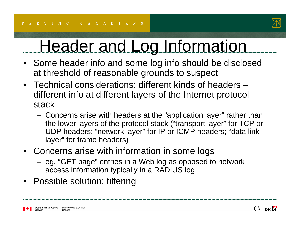

# Header and Log Information

- • Some header info and some log info should be disclosed at threshold of reasonable grounds to suspect
- Technical considerations: different kinds of headers –different info at different layers of the Internet protocol stack
	- Concerns arise with headers at the "application layer" rather than the lower layers of the protocol stack ("transport layer" for TCP or UDP headers; "network layer" for IP or ICMP headers; "data link layer" for frame headers)
- • Concerns arise with information in some logs
	- eg. "GET page" entries in a Web log as opposed to network access information typically in a RADIUS log
- Possible solution: filtering